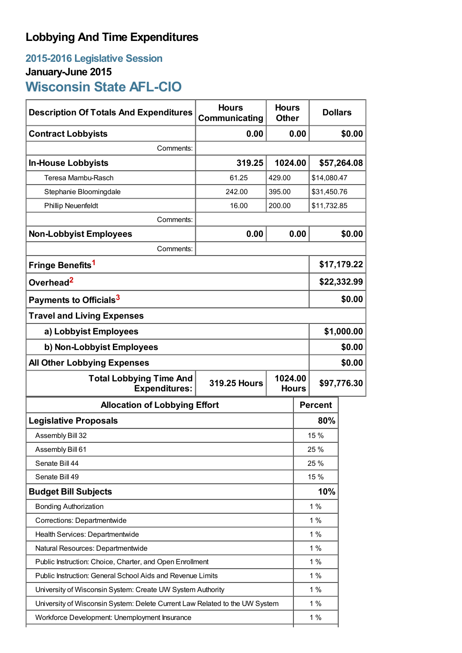# **Lobbying And Time Expenditures**

## **2015-2016 Legislative Session January-June 2015 Wisconsin State AFL-CIO**

| <b>Description Of Totals And Expenditures</b>                               | <b>Hours</b><br>Communicating                  | <b>Hours</b><br><b>Other</b> |                | <b>Dollars</b> |  |
|-----------------------------------------------------------------------------|------------------------------------------------|------------------------------|----------------|----------------|--|
| <b>Contract Lobbyists</b>                                                   | 0.00                                           | 0.00                         |                | \$0.00         |  |
| Comments:                                                                   |                                                |                              |                |                |  |
| <b>In-House Lobbyists</b>                                                   | 319.25                                         | 1024.00                      |                | \$57,264.08    |  |
| Teresa Mambu-Rasch                                                          | 61.25                                          | 429.00                       |                | \$14,080.47    |  |
| Stephanie Bloomingdale                                                      | 242.00                                         | 395.00                       |                | \$31,450.76    |  |
| <b>Phillip Neuenfeldt</b>                                                   | 16.00                                          | 200.00                       |                | \$11,732.85    |  |
| Comments:                                                                   |                                                |                              |                |                |  |
| <b>Non-Lobbyist Employees</b>                                               | 0.00                                           | 0.00                         |                | \$0.00         |  |
| Comments:                                                                   |                                                |                              |                |                |  |
| Fringe Benefits <sup>1</sup>                                                |                                                |                              | \$17,179.22    |                |  |
| Overhead <sup>2</sup>                                                       |                                                |                              | \$22,332.99    |                |  |
| Payments to Officials <sup>3</sup>                                          |                                                |                              | \$0.00         |                |  |
| <b>Travel and Living Expenses</b>                                           |                                                |                              |                |                |  |
| a) Lobbyist Employees                                                       |                                                |                              | \$1,000.00     |                |  |
| b) Non-Lobbyist Employees                                                   |                                                |                              | \$0.00         |                |  |
| <b>All Other Lobbying Expenses</b>                                          |                                                |                              |                | \$0.00         |  |
| <b>Total Lobbying Time And</b><br><b>Expenditures:</b>                      | 1024.00<br><b>319.25 Hours</b><br><b>Hours</b> |                              |                | \$97,776.30    |  |
| <b>Allocation of Lobbying Effort</b>                                        |                                                |                              | <b>Percent</b> |                |  |
| <b>Legislative Proposals</b>                                                |                                                |                              | 80%            |                |  |
| Assembly Bill 32                                                            |                                                |                              | 15 %           |                |  |
| Assembly Bill 61                                                            |                                                |                              | 25 %           |                |  |
| Senate Bill 44                                                              |                                                |                              | 25 %           |                |  |
| Senate Bill 49                                                              |                                                |                              | 15 %           |                |  |
| <b>Budget Bill Subjects</b>                                                 |                                                |                              | 10%            |                |  |
| <b>Bonding Authorization</b>                                                |                                                |                              | 1%             |                |  |
| Corrections: Departmentwide                                                 |                                                |                              | 1%             |                |  |
| Health Services: Departmentwide                                             |                                                |                              | 1%             |                |  |
| Natural Resources: Departmentwide                                           |                                                |                              | $1\%$          |                |  |
| Public Instruction: Choice, Charter, and Open Enrollment                    |                                                |                              | $1\%$          |                |  |
| Public Instruction: General School Aids and Revenue Limits                  |                                                |                              | 1%             |                |  |
| University of Wisconsin System: Create UW System Authority                  |                                                |                              | 1%             |                |  |
| University of Wisconsin System: Delete Current Law Related to the UW System |                                                |                              | 1%             |                |  |
| Workforce Development: Unemployment Insurance                               |                                                |                              | 1%             |                |  |